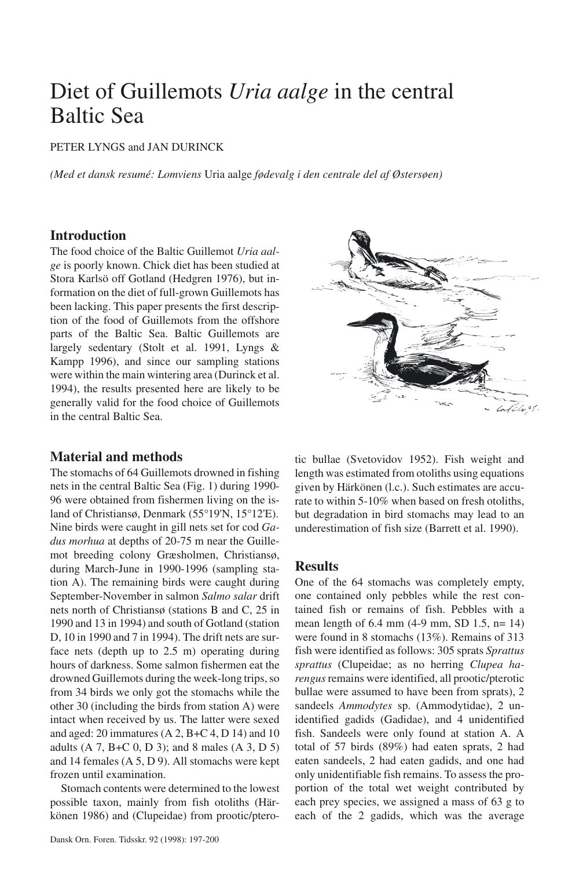# Diet of Guillemots *Uria aalge* in the central Baltic Sea

## PETER LYNGS and JAN DURINCK

*(Med et dansk resumé: Lomviens* Uria aalge *fødevalg i den centrale del af Østersøen)*

## **Introduction**

The food choice of the Baltic Guillemot *Uria aalge* is poorly known. Chick diet has been studied at Stora Karlsö off Gotland (Hedgren 1976), but information on the diet of full-grown Guillemots has been lacking. This paper presents the first description of the food of Guillemots from the offshore parts of the Baltic Sea. Baltic Guillemots are largely sedentary (Stolt et al. 1991, Lyngs & Kampp 1996), and since our sampling stations were within the main wintering area (Durinck et al. 1994), the results presented here are likely to be generally valid for the food choice of Guillemots in the central Baltic Sea.

# **Material and methods**

The stomachs of 64 Guillemots drowned in fishing nets in the central Baltic Sea (Fig. 1) during 1990- 96 were obtained from fishermen living on the island of Christiansø, Denmark (55°19'N, 15°12'E). Nine birds were caught in gill nets set for cod *Gadus morhua* at depths of 20-75 m near the Guillemot breeding colony Græsholmen, Christiansø, during March-June in 1990-1996 (sampling station A). The remaining birds were caught during September-November in salmon *Salmo salar* drift nets north of Christiansø (stations B and C, 25 in 1990 and 13 in 1994) and south of Gotland (station D, 10 in 1990 and 7 in 1994). The drift nets are surface nets (depth up to 2.5 m) operating during hours of darkness. Some salmon fishermen eat the drowned Guillemots during the week-long trips, so from 34 birds we only got the stomachs while the other 30 (including the birds from station A) were intact when received by us. The latter were sexed and aged: 20 immatures  $(A 2, B+C 4, D 14)$  and 10 adults (A 7, B+C 0, D 3); and 8 males (A 3, D 5) and 14 females (A 5, D 9). All stomachs were kept frozen until examination.

Stomach contents were determined to the lowest possible taxon, mainly from fish otoliths (Härkönen 1986) and (Clupeidae) from prootic/ptero-



tic bullae (Svetovidov 1952). Fish weight and length was estimated from otoliths using equations given by Härkönen (l.c.). Such estimates are accurate to within 5-10% when based on fresh otoliths, but degradation in bird stomachs may lead to an underestimation of fish size (Barrett et al. 1990).

# **Results**

One of the 64 stomachs was completely empty, one contained only pebbles while the rest contained fish or remains of fish. Pebbles with a mean length of 6.4 mm (4-9 mm, SD 1.5, n= 14) were found in 8 stomachs (13%). Remains of 313 fish were identified as follows: 305 sprats *Sprattus sprattus* (Clupeidae; as no herring *Clupea harengus* remains were identified, all prootic/pterotic bullae were assumed to have been from sprats), 2 sandeels *Ammodytes* sp. (Ammodytidae), 2 unidentified gadids (Gadidae), and 4 unidentified fish. Sandeels were only found at station A. A total of 57 birds (89%) had eaten sprats, 2 had eaten sandeels, 2 had eaten gadids, and one had only unidentifiable fish remains. To assess the proportion of the total wet weight contributed by each prey species, we assigned a mass of 63 g to each of the 2 gadids, which was the average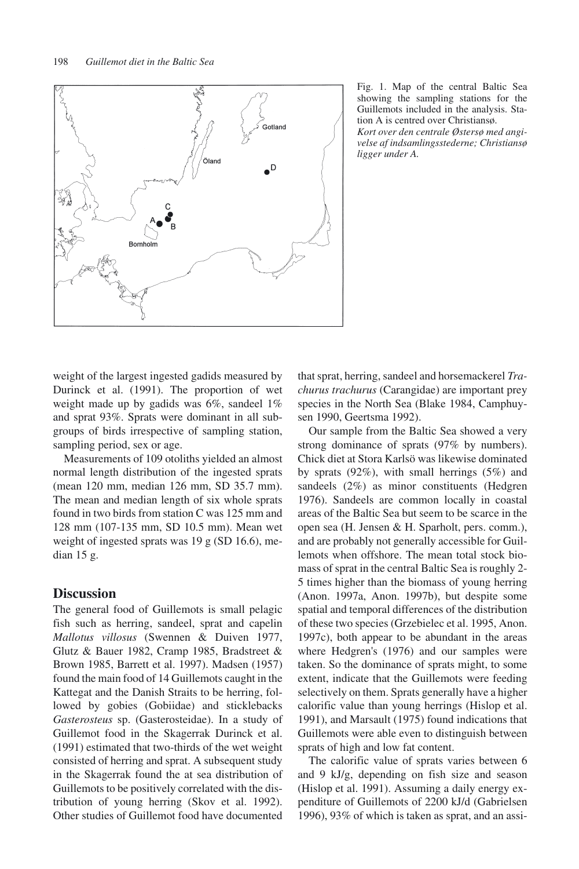

Fig. 1. Map of the central Baltic Sea showing the sampling stations for the Guillemots included in the analysis. Station A is centred over Christiansø. *Kort over den centrale Østersø med angi-*

*velse af indsamlingsstederne; Christiansø ligger under A.*

weight of the largest ingested gadids measured by Durinck et al. (1991). The proportion of wet weight made up by gadids was 6%, sandeel 1% and sprat 93%. Sprats were dominant in all subgroups of birds irrespective of sampling station, sampling period, sex or age.

Measurements of 109 otoliths yielded an almost normal length distribution of the ingested sprats (mean 120 mm, median 126 mm, SD 35.7 mm). The mean and median length of six whole sprats found in two birds from station C was 125 mm and 128 mm (107-135 mm, SD 10.5 mm). Mean wet weight of ingested sprats was 19 g (SD 16.6), median 15 g.

### **Discussion**

The general food of Guillemots is small pelagic fish such as herring, sandeel, sprat and capelin *Mallotus villosus* (Swennen & Duiven 1977, Glutz & Bauer 1982, Cramp 1985, Bradstreet & Brown 1985, Barrett et al. 1997). Madsen (1957) found the main food of 14 Guillemots caught in the Kattegat and the Danish Straits to be herring, followed by gobies (Gobiidae) and sticklebacks *Gasterosteus* sp. (Gasterosteidae). In a study of Guillemot food in the Skagerrak Durinck et al. (1991) estimated that two-thirds of the wet weight consisted of herring and sprat. A subsequent study in the Skagerrak found the at sea distribution of Guillemots to be positively correlated with the distribution of young herring (Skov et al. 1992). Other studies of Guillemot food have documented that sprat, herring, sandeel and horsemackerel *Trachurus trachurus* (Carangidae) are important prey species in the North Sea (Blake 1984, Camphuysen 1990, Geertsma 1992).

Our sample from the Baltic Sea showed a very strong dominance of sprats (97% by numbers). Chick diet at Stora Karlsö was likewise dominated by sprats (92%), with small herrings (5%) and sandeels (2%) as minor constituents (Hedgren 1976). Sandeels are common locally in coastal areas of the Baltic Sea but seem to be scarce in the open sea (H. Jensen & H. Sparholt, pers. comm.), and are probably not generally accessible for Guillemots when offshore. The mean total stock biomass of sprat in the central Baltic Sea is roughly 2- 5 times higher than the biomass of young herring (Anon. 1997a, Anon. 1997b), but despite some spatial and temporal differences of the distribution of these two species (Grzebielec et al. 1995, Anon. 1997c), both appear to be abundant in the areas where Hedgren's (1976) and our samples were taken. So the dominance of sprats might, to some extent, indicate that the Guillemots were feeding selectively on them. Sprats generally have a higher calorific value than young herrings (Hislop et al. 1991), and Marsault (1975) found indications that Guillemots were able even to distinguish between sprats of high and low fat content.

The calorific value of sprats varies between 6 and 9 kJ/g, depending on fish size and season (Hislop et al. 1991). Assuming a daily energy expenditure of Guillemots of 2200 kJ/d (Gabrielsen 1996), 93% of which is taken as sprat, and an assi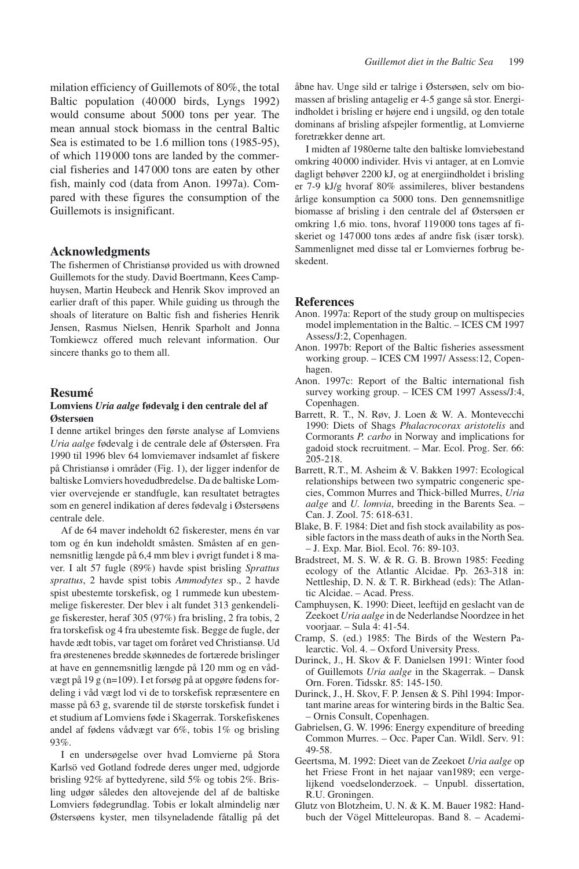milation efficiency of Guillemots of 80%, the total Baltic population (40 000 birds, Lyngs 1992) would consume about 5000 tons per year. The mean annual stock biomass in the central Baltic Sea is estimated to be 1.6 million tons (1985-95), of which 119 000 tons are landed by the commercial fisheries and 147 000 tons are eaten by other fish, mainly cod (data from Anon. 1997a). Compared with these figures the consumption of the Guillemots is insignificant.

#### **Acknowledgments**

The fishermen of Christiansø provided us with drowned Guillemots for the study. David Boertmann, Kees Camphuysen, Martin Heubeck and Henrik Skov improved an earlier draft of this paper. While guiding us through the shoals of literature on Baltic fish and fisheries Henrik Jensen, Rasmus Nielsen, Henrik Sparholt and Jonna Tomkiewcz offered much relevant information. Our sincere thanks go to them all.

#### **Resumé**

#### **Lomviens** *Uria aalge* **fødevalg i den centrale del af Østersøen**

I denne artikel bringes den første analyse af Lomviens *Uria aalge* fødevalg i de centrale dele af Østersøen. Fra 1990 til 1996 blev 64 lomviemaver indsamlet af fiskere på Christiansø i områder (Fig. 1), der ligger indenfor de baltiske Lomviers hovedudbredelse. Da de baltiske Lomvier overvejende er standfugle, kan resultatet betragtes som en generel indikation af deres fødevalg i Østersøens centrale dele.

Af de 64 maver indeholdt 62 fiskerester, mens én var tom og én kun indeholdt småsten. Småsten af en gennemsnitlig længde på 6,4 mm blev i øvrigt fundet i 8 maver. I alt 57 fugle (89%) havde spist brisling *Sprattus sprattus*, 2 havde spist tobis *Ammodytes* sp., 2 havde spist ubestemte torskefisk, og 1 rummede kun ubestemmelige fiskerester. Der blev i alt fundet 313 genkendelige fiskerester, heraf 305 (97%) fra brisling, 2 fra tobis, 2 fra torskefisk og 4 fra ubestemte fisk. Begge de fugle, der havde ædt tobis, var taget om foråret ved Christiansø. Ud fra ørestenenes bredde skønnedes de fortærede brislinger at have en gennemsnitlig længde på 120 mm og en vådvægt på 19 g (n=109). I et forsøg på at opgøre fødens fordeling i våd vægt lod vi de to torskefisk repræsentere en masse på 63 g, svarende til de største torskefisk fundet i et studium af Lomviens føde i Skagerrak. Torskefiskenes andel af fødens vådvægt var 6%, tobis 1% og brisling 93%.

I en undersøgelse over hvad Lomvierne på Stora Karlsö ved Gotland fodrede deres unger med, udgjorde brisling 92% af byttedyrene, sild 5% og tobis 2%. Brisling udgør således den altovejende del af de baltiske Lomviers fødegrundlag. Tobis er lokalt almindelig nær Østersøens kyster, men tilsyneladende fåtallig på det åbne hav. Unge sild er talrige i Østersøen, selv om biomassen af brisling antagelig er 4-5 gange så stor. Energiindholdet i brisling er højere end i ungsild, og den totale dominans af brisling afspejler formentlig, at Lomvierne foretrækker denne art.

I midten af 1980erne talte den baltiske lomviebestand omkring 40 000 individer. Hvis vi antager, at en Lomvie dagligt behøver 2200 kJ, og at energiindholdet i brisling er 7-9 kJ/g hvoraf 80% assimileres, bliver bestandens årlige konsumption ca 5000 tons. Den gennemsnitlige biomasse af brisling i den centrale del af Østersøen er omkring 1,6 mio. tons, hvoraf 119 000 tons tages af fiskeriet og 147 000 tons ædes af andre fisk (især torsk). Sammenlignet med disse tal er Lomviernes forbrug beskedent.

#### **References**

- Anon. 1997a: Report of the study group on multispecies model implementation in the Baltic. – ICES CM 1997 Assess/J:2, Copenhagen.
- Anon. 1997b: Report of the Baltic fisheries assessment working group. – ICES CM 1997/ Assess:12, Copenhagen.
- Anon. 1997c: Report of the Baltic international fish survey working group. – ICES CM 1997 Assess/J:4, Copenhagen.
- Barrett, R. T., N. Røv, J. Loen & W. A. Montevecchi 1990: Diets of Shags *Phalacrocorax aristotelis* and Cormorants *P. carbo* in Norway and implications for gadoid stock recruitment. – Mar. Ecol. Prog. Ser. 66: 205-218.
- Barrett, R.T., M. Asheim & V. Bakken 1997: Ecological relationships between two sympatric congeneric species, Common Murres and Thick-billed Murres, *Uria aalge* and *U. lomvia*, breeding in the Barents Sea. – Can. J. Zool. 75: 618-631.
- Blake, B. F. 1984: Diet and fish stock availability as possible factors in the mass death of auks in the North Sea. – J. Exp. Mar. Biol. Ecol. 76: 89-103.
- Bradstreet, M. S. W. & R. G. B. Brown 1985: Feeding ecology of the Atlantic Alcidae. Pp. 263-318 in: Nettleship, D. N. & T. R. Birkhead (eds): The Atlantic Alcidae. – Acad. Press.
- Camphuysen, K. 1990: Dieet, leeftijd en geslacht van de Zeekoet *Uria aalge* in de Nederlandse Noordzee in het voorjaar. – Sula 4: 41-54.
- Cramp, S. (ed.) 1985: The Birds of the Western Palearctic. Vol. 4. – Oxford University Press.
- Durinck, J., H. Skov & F. Danielsen 1991: Winter food of Guillemots *Uria aalge* in the Skagerrak. – Dansk Orn. Foren. Tidsskr. 85: 145-150.
- Durinck, J., H. Skov, F. P. Jensen & S. Pihl 1994: Important marine areas for wintering birds in the Baltic Sea. – Ornis Consult, Copenhagen.
- Gabrielsen, G. W. 1996: Energy expenditure of breeding Common Murres. – Occ. Paper Can. Wildl. Serv. 91: 49-58.
- Geertsma, M. 1992: Dieet van de Zeekoet *Uria aalge* op het Friese Front in het najaar van1989; een vergelijkend voedselonderzoek. – Unpubl. dissertation, R.U. Groningen.
- Glutz von Blotzheim, U. N. & K. M. Bauer 1982: Handbuch der Vögel Mitteleuropas. Band 8. – Academi-